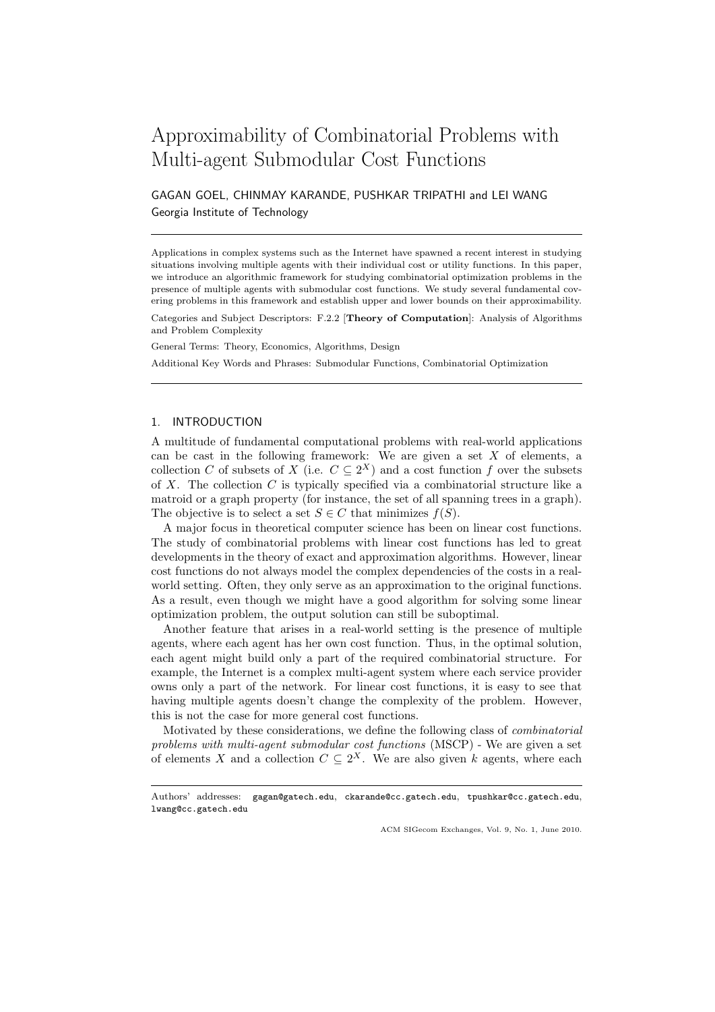# Approximability of Combinatorial Problems with Multi-agent Submodular Cost Functions

GAGAN GOEL, CHINMAY KARANDE, PUSHKAR TRIPATHI and LEI WANG Georgia Institute of Technology

Applications in complex systems such as the Internet have spawned a recent interest in studying situations involving multiple agents with their individual cost or utility functions. In this paper, we introduce an algorithmic framework for studying combinatorial optimization problems in the presence of multiple agents with submodular cost functions. We study several fundamental covering problems in this framework and establish upper and lower bounds on their approximability.

Categories and Subject Descriptors: F.2.2 [**Theory of Computation**]: Analysis of Algorithms and Problem Complexity

General Terms: Theory, Economics, Algorithms, Design

Additional Key Words and Phrases: Submodular Functions, Combinatorial Optimization

## 1. INTRODUCTION

A multitude of fundamental computational problems with real-world applications can be cast in the following framework: We are given a set *X* of elements, a collection *C* of subsets of *X* (i.e.  $C \subseteq 2^X$ ) and a cost function *f* over the subsets of *X*. The collection *C* is typically specified via a combinatorial structure like a matroid or a graph property (for instance, the set of all spanning trees in a graph). The objective is to select a set  $S \in C$  that minimizes  $f(S)$ .

A major focus in theoretical computer science has been on linear cost functions. The study of combinatorial problems with linear cost functions has led to great developments in the theory of exact and approximation algorithms. However, linear cost functions do not always model the complex dependencies of the costs in a realworld setting. Often, they only serve as an approximation to the original functions. As a result, even though we might have a good algorithm for solving some linear optimization problem, the output solution can still be suboptimal.

Another feature that arises in a real-world setting is the presence of multiple agents, where each agent has her own cost function. Thus, in the optimal solution, each agent might build only a part of the required combinatorial structure. For example, the Internet is a complex multi-agent system where each service provider owns only a part of the network. For linear cost functions, it is easy to see that having multiple agents doesn't change the complexity of the problem. However, this is not the case for more general cost functions.

Motivated by these considerations, we define the following class of *combinatorial problems with multi-agent submodular cost functions* (MSCP) - We are given a set of elements *X* and a collection  $C \subseteq 2^X$ . We are also given *k* agents, where each

Authors' addresses: gagan@gatech.edu, ckarande@cc.gatech.edu, tpushkar@cc.gatech.edu, lwang@cc.gatech.edu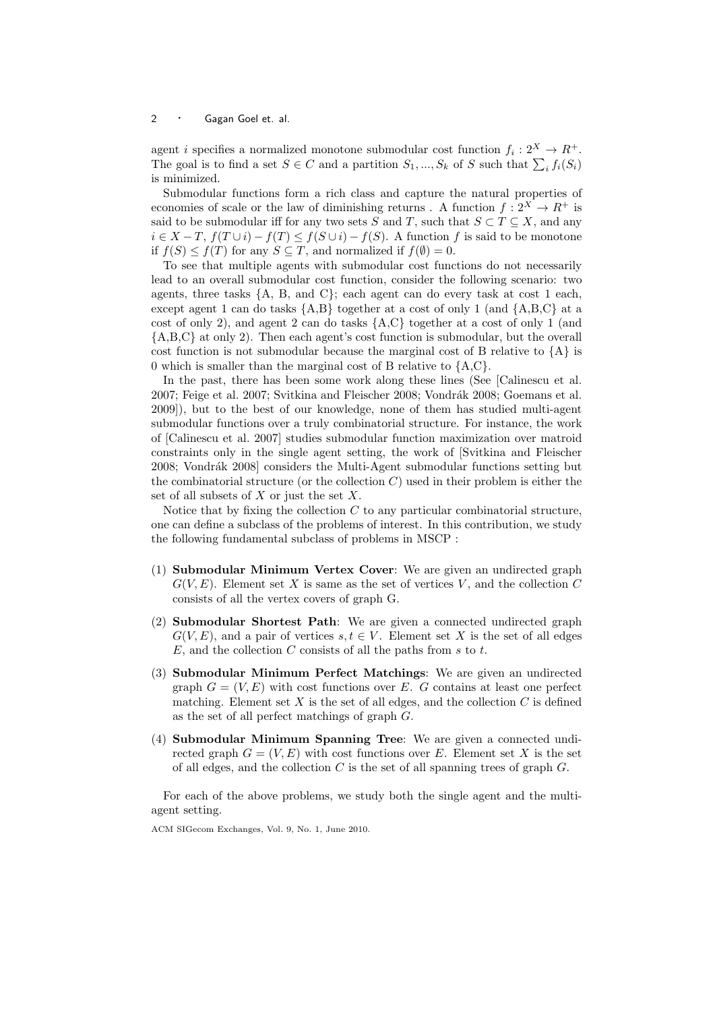#### <sup>2</sup> *·* Gagan Goel et. al.

agent *i* specifies a normalized monotone submodular cost function  $f_i: 2^X \to \mathbb{R}^+$ . The goal is to find a set  $S \in C$  and a partition  $S_1, ..., S_k$  of  $S$  such that  $\sum_i f_i(S_i)$ is minimized.

Submodular functions form a rich class and capture the natural properties of economies of scale or the law of diminishing returns . A function  $f: 2^X \to R^+$  is said to be submodular iff for any two sets *S* and *T*, such that  $S \subset T \subseteq X$ , and any  $i \in X - T$ ,  $f(T \cup i) - f(T) \le f(S \cup i) - f(S)$ . A function f is said to be monotone if  $f(S) \leq f(T)$  for any  $S \subseteq T$ , and normalized if  $f(\emptyset) = 0$ .

To see that multiple agents with submodular cost functions do not necessarily lead to an overall submodular cost function, consider the following scenario: two agents, three tasks *{*A, B, and C*}*; each agent can do every task at cost 1 each, except agent 1 can do tasks *{*A,B*}* together at a cost of only 1 (and *{*A,B,C*}* at a cost of only 2), and agent 2 can do tasks *{*A,C*}* together at a cost of only 1 (and *{*A,B,C*}* at only 2). Then each agent's cost function is submodular, but the overall cost function is not submodular because the marginal cost of B relative to *{*A*}* is 0 which is smaller than the marginal cost of B relative to *{*A,C*}*.

In the past, there has been some work along these lines (See [Calinescu et al. 2007; Feige et al. 2007; Svitkina and Fleischer 2008; Vondrák 2008; Goemans et al. 2009]), but to the best of our knowledge, none of them has studied multi-agent submodular functions over a truly combinatorial structure. For instance, the work of [Calinescu et al. 2007] studies submodular function maximization over matroid constraints only in the single agent setting, the work of [Svitkina and Fleischer 2008; Vondrák 2008] considers the Multi-Agent submodular functions setting but the combinatorial structure (or the collection *C*) used in their problem is either the set of all subsets of *X* or just the set *X*.

Notice that by fixing the collection *C* to any particular combinatorial structure, one can define a subclass of the problems of interest. In this contribution, we study the following fundamental subclass of problems in MSCP :

- (1) **Submodular Minimum Vertex Cover**: We are given an undirected graph  $G(V, E)$ . Element set *X* is same as the set of vertices *V*, and the collection *C* consists of all the vertex covers of graph G.
- (2) **Submodular Shortest Path**: We are given a connected undirected graph  $G(V, E)$ , and a pair of vertices  $s, t \in V$ . Element set *X* is the set of all edges *E*, and the collection *C* consists of all the paths from *s* to *t*.
- (3) **Submodular Minimum Perfect Matchings**: We are given an undirected graph  $G = (V, E)$  with cost functions over *E*. *G* contains at least one perfect matching. Element set  $X$  is the set of all edges, and the collection  $C$  is defined as the set of all perfect matchings of graph *G*.
- (4) **Submodular Minimum Spanning Tree**: We are given a connected undirected graph  $G = (V, E)$  with cost functions over *E*. Element set *X* is the set of all edges, and the collection *C* is the set of all spanning trees of graph *G*.

For each of the above problems, we study both the single agent and the multiagent setting.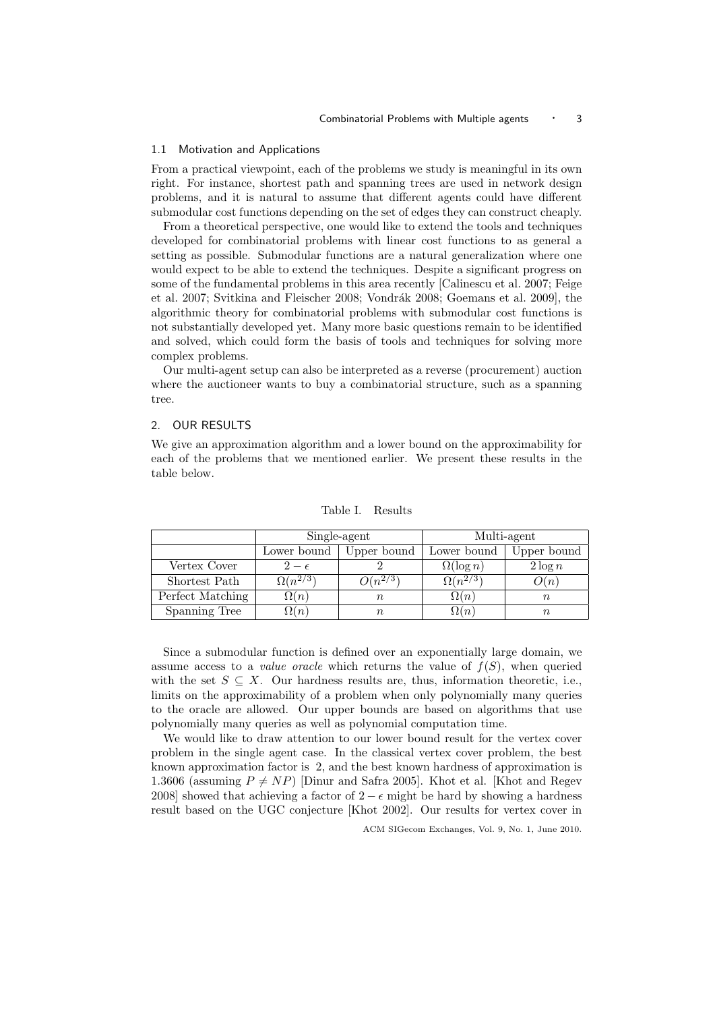#### 1.1 Motivation and Applications

From a practical viewpoint, each of the problems we study is meaningful in its own right. For instance, shortest path and spanning trees are used in network design problems, and it is natural to assume that different agents could have different submodular cost functions depending on the set of edges they can construct cheaply.

From a theoretical perspective, one would like to extend the tools and techniques developed for combinatorial problems with linear cost functions to as general a setting as possible. Submodular functions are a natural generalization where one would expect to be able to extend the techniques. Despite a significant progress on some of the fundamental problems in this area recently [Calinescu et al. 2007; Feige et al. 2007; Svitkina and Fleischer 2008; Vondrák 2008; Goemans et al. 2009], the algorithmic theory for combinatorial problems with submodular cost functions is not substantially developed yet. Many more basic questions remain to be identified and solved, which could form the basis of tools and techniques for solving more complex problems.

Our multi-agent setup can also be interpreted as a reverse (procurement) auction where the auctioneer wants to buy a combinatorial structure, such as a spanning tree.

#### 2. OUR RESULTS

We give an approximation algorithm and a lower bound on the approximability for each of the problems that we mentioned earlier. We present these results in the table below.

|                  | Single-agent      |              | Multi-agent       |             |
|------------------|-------------------|--------------|-------------------|-------------|
|                  | Lower bound       | Upper bound  | Lower bound       | Upper bound |
| Vertex Cover     | $2-\epsilon$      |              | $\Omega(\log n)$  | $2 \log n$  |
| Shortest Path    | $\Omega(n^{2/3})$ | $O(n^{2/3})$ | $\Omega(n^{2/3})$ | O(n)        |
| Perfect Matching | $\Omega(n)$       | $\, n$       | $\Omega(n)$       | $\, n$      |
| Spanning Tree    | $\Omega(n)$       | $\it n$      | $\Omega(n)$       | $\, n$      |

Table I. Results

Since a submodular function is defined over an exponentially large domain, we assume access to a *value oracle* which returns the value of  $f(S)$ , when queried with the set  $S \subseteq X$ . Our hardness results are, thus, information theoretic, i.e., limits on the approximability of a problem when only polynomially many queries to the oracle are allowed. Our upper bounds are based on algorithms that use polynomially many queries as well as polynomial computation time.

We would like to draw attention to our lower bound result for the vertex cover problem in the single agent case. In the classical vertex cover problem, the best known approximation factor is 2, and the best known hardness of approximation is 1.3606 (assuming  $P \neq NP$ ) [Dinur and Safra 2005]. Khot et al. [Khot and Regev 2008] showed that achieving a factor of  $2 - \epsilon$  might be hard by showing a hardness result based on the UGC conjecture [Khot 2002]. Our results for vertex cover in